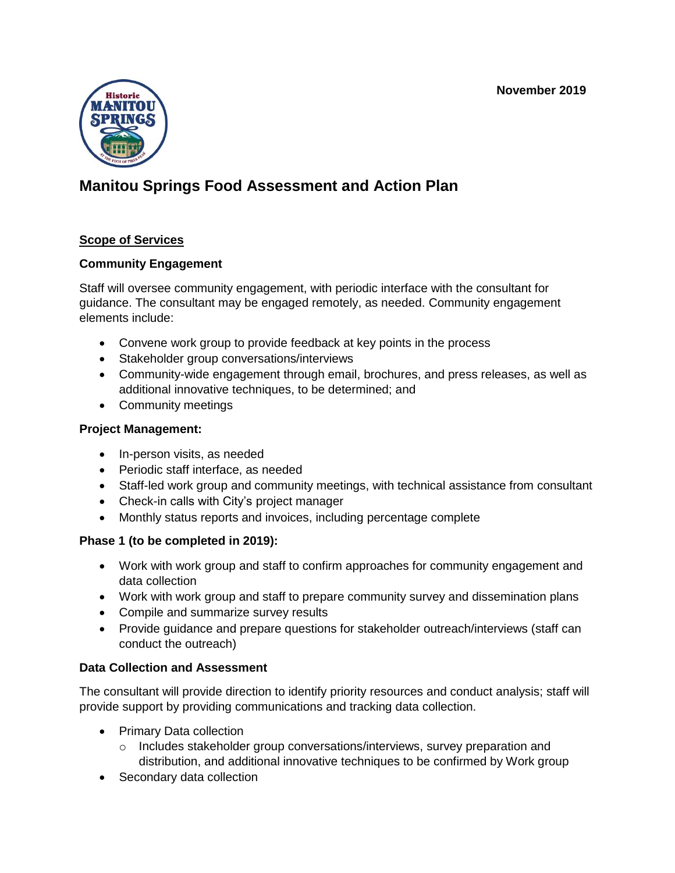**November 2019**



# **Manitou Springs Food Assessment and Action Plan**

# **Scope of Services**

#### **Community Engagement**

Staff will oversee community engagement, with periodic interface with the consultant for guidance. The consultant may be engaged remotely, as needed. Community engagement elements include:

- Convene work group to provide feedback at key points in the process
- Stakeholder group conversations/interviews
- Community-wide engagement through email, brochures, and press releases, as well as additional innovative techniques, to be determined; and
- Community meetings

#### **Project Management:**

- In-person visits, as needed
- Periodic staff interface, as needed
- Staff-led work group and community meetings, with technical assistance from consultant
- Check-in calls with City's project manager
- Monthly status reports and invoices, including percentage complete

# **Phase 1 (to be completed in 2019):**

- Work with work group and staff to confirm approaches for community engagement and data collection
- Work with work group and staff to prepare community survey and dissemination plans
- Compile and summarize survey results
- Provide guidance and prepare questions for stakeholder outreach/interviews (staff can conduct the outreach)

# **Data Collection and Assessment**

The consultant will provide direction to identify priority resources and conduct analysis; staff will provide support by providing communications and tracking data collection.

- Primary Data collection
	- $\circ$  Includes stakeholder group conversations/interviews, survey preparation and distribution, and additional innovative techniques to be confirmed by Work group
- Secondary data collection